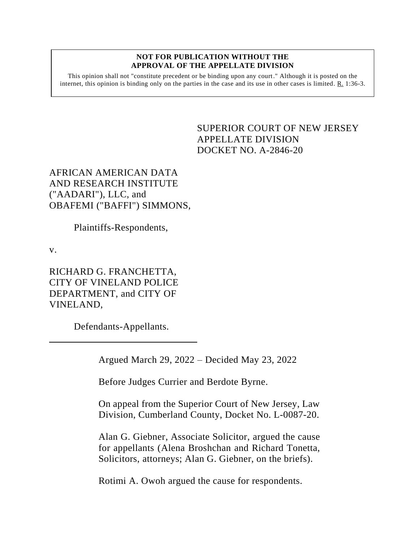## **NOT FOR PUBLICATION WITHOUT THE APPROVAL OF THE APPELLATE DIVISION**

This opinion shall not "constitute precedent or be binding upon any court." Although it is posted on the internet, this opinion is binding only on the parties in the case and its use in other cases is limited.  $R_1$  1:36-3.

> <span id="page-0-0"></span>SUPERIOR COURT OF NEW JERSEY APPELLATE DIVISION DOCKET NO. A-2846-20

AFRICAN AMERICAN DATA AND RESEARCH INSTITUTE ("AADARI"), LLC, and OBAFEMI ("BAFFI") SIMMONS,

Plaintiffs-Respondents,

v.

RICHARD G. FRANCHETTA, CITY OF VINELAND POLICE DEPARTMENT, and CITY OF VINELAND,

Defendants-Appellants.

Argued March 29, 2022 – Decided May 23, 2022

Before Judges Currier and Berdote Byrne.

On appeal from the Superior Court of New Jersey, Law Division, Cumberland County, Docket No. L-0087-20.

Alan G. Giebner, Associate Solicitor, argued the cause for appellants (Alena Broshchan and Richard Tonetta, Solicitors, attorneys; Alan G. Giebner, on the briefs).

Rotimi A. Owoh argued the cause for respondents.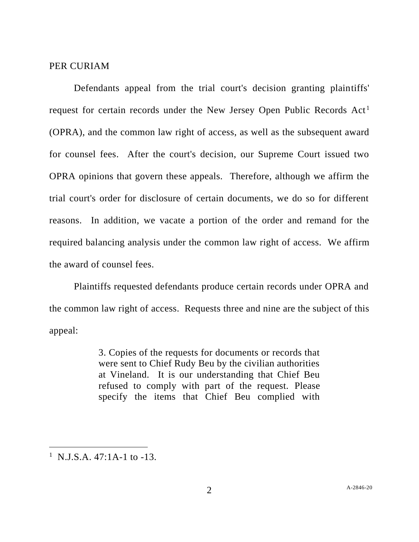## PER CURIAM

Defendants appeal from the trial court's decision granting plaintiffs' request for certain records under the New Jersey Open Public Records Act<sup>1</sup> (OPRA), and the common law right of access, as well as the subsequent award for counsel fees. After the court's decision, our Supreme Court issued two OPRA opinions that govern these appeals. Therefore, although we affirm the trial court's order for disclosure of certain documents, we do so for different reasons. In addition, we vacate a portion of the order and remand for the required balancing analysis under the common law right of access. We affirm the award of counsel fees.

Plaintiffs requested defendants produce certain records under OPRA and the common law right of access. Requests three and nine are the subject of this appeal:

> 3. Copies of the requests for documents or records that were sent to Chief Rudy Beu by the civilian authorities at Vineland. It is our understanding that Chief Beu refused to comply with part of the request. Please specify the items that Chief Beu complied with

<sup>&</sup>lt;sup>1</sup> N.J.S.A.  $47:1$ A-1 to -13.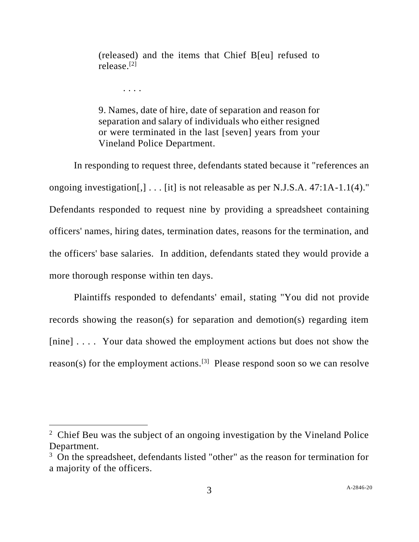(released) and the items that Chief B[eu] refused to release. [2]

. . . .

9. Names, date of hire, date of separation and reason for separation and salary of individuals who either resigned or were terminated in the last [seven] years from your Vineland Police Department.

In responding to request three, defendants stated because it "references an ongoing investigation[,] . . . [it] is not releasable as per N.J.S.A. 47:1A-1.1(4)." Defendants responded to request nine by providing a spreadsheet containing officers' names, hiring dates, termination dates, reasons for the termination, and the officers' base salaries. In addition, defendants stated they would provide a more thorough response within ten days.

Plaintiffs responded to defendants' email, stating "You did not provide records showing the reason(s) for separation and demotion(s) regarding item [nine] . . . . Your data showed the employment actions but does not show the reason(s) for the employment actions.<sup>[3]</sup> Please respond soon so we can resolve

<sup>&</sup>lt;sup>2</sup> Chief Beu was the subject of an ongoing investigation by the Vineland Police Department.

<sup>&</sup>lt;sup>3</sup> On the spreadsheet, defendants listed "other" as the reason for termination for a majority of the officers.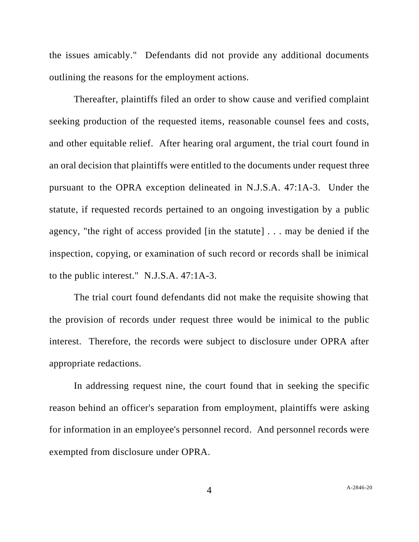the issues amicably." Defendants did not provide any additional documents outlining the reasons for the employment actions.

Thereafter, plaintiffs filed an order to show cause and verified complaint seeking production of the requested items, reasonable counsel fees and costs, and other equitable relief. After hearing oral argument, the trial court found in an oral decision that plaintiffs were entitled to the documents under request three pursuant to the OPRA exception delineated in N.J.S.A. 47:1A-3. Under the statute, if requested records pertained to an ongoing investigation by a public agency, "the right of access provided [in the statute] . . . may be denied if the inspection, copying, or examination of such record or records shall be inimical to the public interest." N.J.S.A. 47:1A-3.

The trial court found defendants did not make the requisite showing that the provision of records under request three would be inimical to the public interest. Therefore, the records were subject to disclosure under OPRA after appropriate redactions.

In addressing request nine, the court found that in seeking the specific reason behind an officer's separation from employment, plaintiffs were asking for information in an employee's personnel record. And personnel records were exempted from disclosure under OPRA.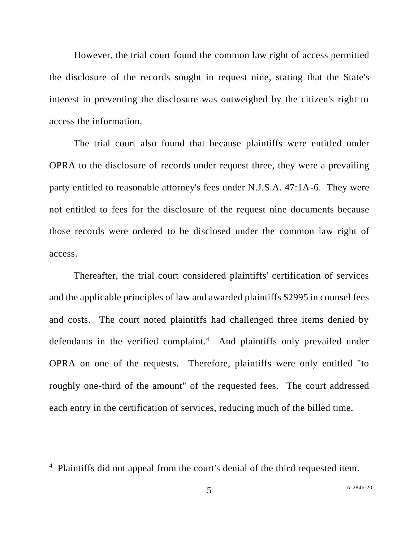However, the trial court found the common law right of access permitted the disclosure of the records sought in request nine, stating that the State's interest in preventing the disclosure was outweighed by the citizen's right to access the information.

The trial court also found that because plaintiffs were entitled under OPRA to the disclosure of records under request three, they were a prevailing party entitled to reasonable attorney's fees under N.J.S.A. 47:1A-6. They were not entitled to fees for the disclosure of the request nine documents because those records were ordered to be disclosed under the common law right of access.

Thereafter, the trial court considered plaintiffs' certification of services and the applicable principles of law and awarded plaintiffs \$2995 in counsel fees and costs. The court noted plaintiffs had challenged three items denied by defendants in the verified complaint.<sup>4</sup> And plaintiffs only prevailed under OPRA on one of the requests. Therefore, plaintiffs were only entitled "to roughly one-third of the amount" of the requested fees. The court addressed each entry in the certification of services, reducing much of the billed time.

<sup>4</sup> Plaintiffs did not appeal from the court's denial of the third requested item.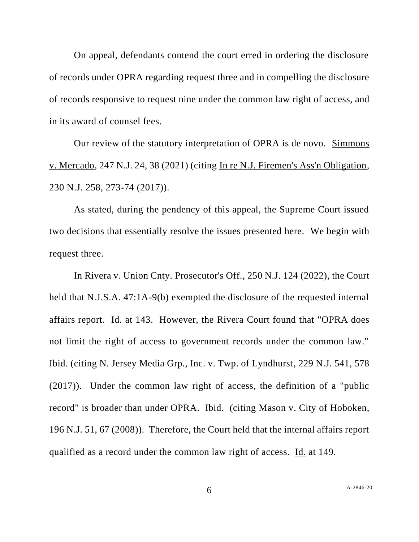On appeal, defendants contend the court erred in ordering the disclosure of records under OPRA regarding request three and in compelling the disclosure of records responsive to request nine under the common law right of access, and in its award of counsel fees.

Our review of the statutory interpretation of OPRA is de novo. Simmons v. Mercado, 247 N.J. 24, 38 (2021) (citing In re N.J. Firemen's Ass'n Obligation, 230 N.J. 258, 273-74 (2017)).

As stated, during the pendency of this appeal, the Supreme Court issued two decisions that essentially resolve the issues presented here. We begin with request three.

In Rivera v. Union Cnty. Prosecutor's Off., 250 N.J. 124 (2022), the Court held that N.J.S.A. 47:1A-9(b) exempted the disclosure of the requested internal affairs report. Id. at 143. However, the Rivera Court found that "OPRA does not limit the right of access to government records under the common law." Ibid. (citing N. Jersey Media Grp., Inc. v. Twp. of Lyndhurst, 229 N.J. 541, 578 (2017)). Under the common law right of access, the definition of a "public record" is broader than under OPRA. Ibid. (citing Mason v. City of Hoboken, 196 N.J. 51, 67 (2008)). Therefore, the Court held that the internal affairs report qualified as a record under the common law right of access. Id. at 149.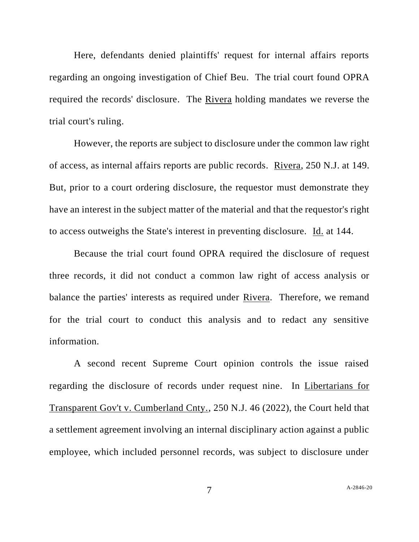Here, defendants denied plaintiffs' request for internal affairs reports regarding an ongoing investigation of Chief Beu. The trial court found OPRA required the records' disclosure. The Rivera holding mandates we reverse the trial court's ruling.

However, the reports are subject to disclosure under the common law right of access, as internal affairs reports are public records. Rivera, 250 N.J. at 149. But, prior to a court ordering disclosure, the requestor must demonstrate they have an interest in the subject matter of the material and that the requestor's right to access outweighs the State's interest in preventing disclosure. Id. at 144.

Because the trial court found OPRA required the disclosure of request three records, it did not conduct a common law right of access analysis or balance the parties' interests as required under Rivera. Therefore, we remand for the trial court to conduct this analysis and to redact any sensitive information.

A second recent Supreme Court opinion controls the issue raised regarding the disclosure of records under request nine. In Libertarians for Transparent Gov't v. Cumberland Cnty., 250 N.J. 46 (2022), the Court held that a settlement agreement involving an internal disciplinary action against a public employee, which included personnel records, was subject to disclosure under

7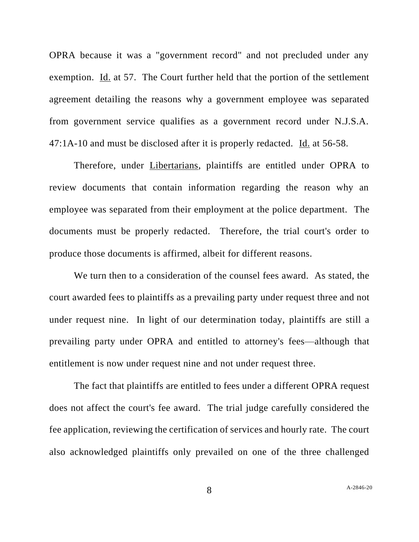OPRA because it was a "government record" and not precluded under any exemption. Id. at 57. The Court further held that the portion of the settlement agreement detailing the reasons why a government employee was separated from government service qualifies as a government record under N.J.S.A. 47:1A-10 and must be disclosed after it is properly redacted. Id. at 56-58.

Therefore, under Libertarians, plaintiffs are entitled under OPRA to review documents that contain information regarding the reason why an employee was separated from their employment at the police department. The documents must be properly redacted. Therefore, the trial court's order to produce those documents is affirmed, albeit for different reasons.

We turn then to a consideration of the counsel fees award. As stated, the court awarded fees to plaintiffs as a prevailing party under request three and not under request nine. In light of our determination today, plaintiffs are still a prevailing party under OPRA and entitled to attorney's fees—although that entitlement is now under request nine and not under request three.

The fact that plaintiffs are entitled to fees under a different OPRA request does not affect the court's fee award. The trial judge carefully considered the fee application, reviewing the certification of services and hourly rate. The court also acknowledged plaintiffs only prevailed on one of the three challenged

8